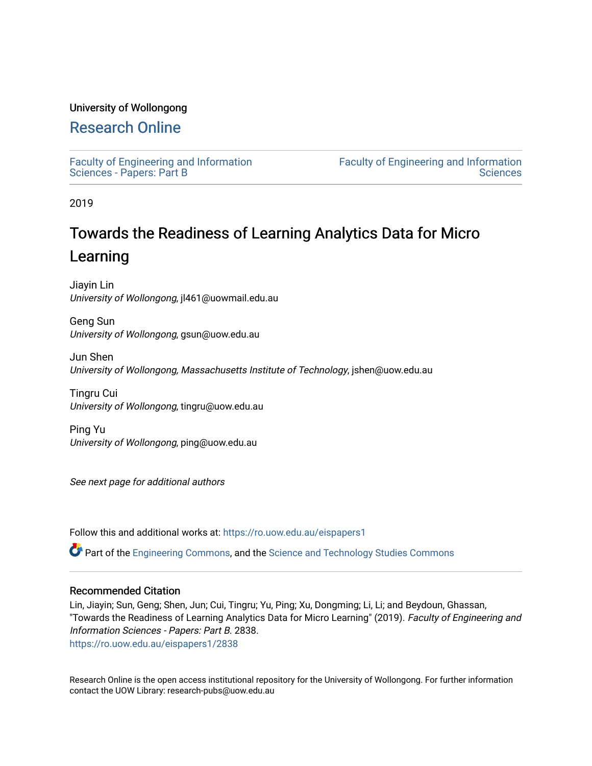## University of Wollongong

## [Research Online](https://ro.uow.edu.au/)

[Faculty of Engineering and Information](https://ro.uow.edu.au/eispapers1)  [Sciences - Papers: Part B](https://ro.uow.edu.au/eispapers1)

[Faculty of Engineering and Information](https://ro.uow.edu.au/eis)  **Sciences** 

2019

# Towards the Readiness of Learning Analytics Data for Micro Learning

Jiayin Lin University of Wollongong, jl461@uowmail.edu.au

Geng Sun University of Wollongong, gsun@uow.edu.au

Jun Shen University of Wollongong, Massachusetts Institute of Technology, jshen@uow.edu.au

Tingru Cui University of Wollongong, tingru@uow.edu.au

Ping Yu University of Wollongong, ping@uow.edu.au

See next page for additional authors

Follow this and additional works at: [https://ro.uow.edu.au/eispapers1](https://ro.uow.edu.au/eispapers1?utm_source=ro.uow.edu.au%2Feispapers1%2F2838&utm_medium=PDF&utm_campaign=PDFCoverPages) 

Part of the [Engineering Commons](http://network.bepress.com/hgg/discipline/217?utm_source=ro.uow.edu.au%2Feispapers1%2F2838&utm_medium=PDF&utm_campaign=PDFCoverPages), and the [Science and Technology Studies Commons](http://network.bepress.com/hgg/discipline/435?utm_source=ro.uow.edu.au%2Feispapers1%2F2838&utm_medium=PDF&utm_campaign=PDFCoverPages)

### Recommended Citation

Lin, Jiayin; Sun, Geng; Shen, Jun; Cui, Tingru; Yu, Ping; Xu, Dongming; Li, Li; and Beydoun, Ghassan, "Towards the Readiness of Learning Analytics Data for Micro Learning" (2019). Faculty of Engineering and Information Sciences - Papers: Part B. 2838. [https://ro.uow.edu.au/eispapers1/2838](https://ro.uow.edu.au/eispapers1/2838?utm_source=ro.uow.edu.au%2Feispapers1%2F2838&utm_medium=PDF&utm_campaign=PDFCoverPages)

Research Online is the open access institutional repository for the University of Wollongong. For further information contact the UOW Library: research-pubs@uow.edu.au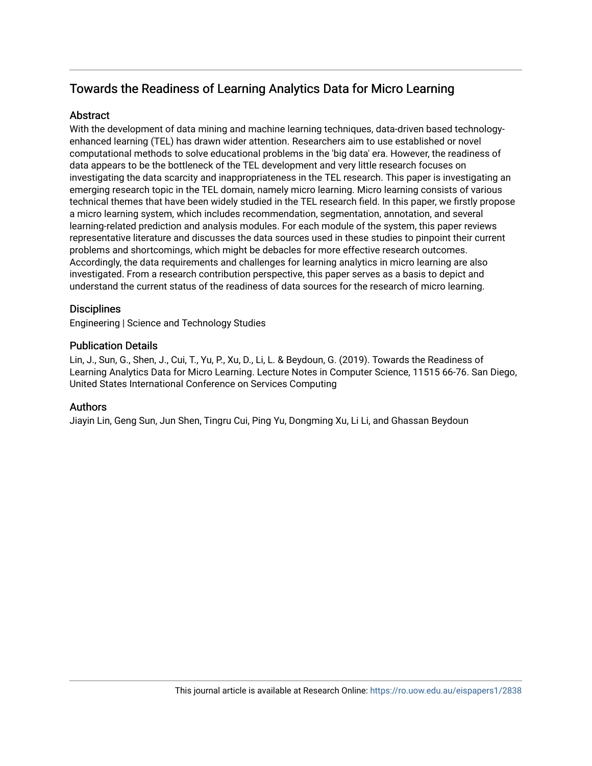## Towards the Readiness of Learning Analytics Data for Micro Learning

## **Abstract**

With the development of data mining and machine learning techniques, data-driven based technologyenhanced learning (TEL) has drawn wider attention. Researchers aim to use established or novel computational methods to solve educational problems in the 'big data' era. However, the readiness of data appears to be the bottleneck of the TEL development and very little research focuses on investigating the data scarcity and inappropriateness in the TEL research. This paper is investigating an emerging research topic in the TEL domain, namely micro learning. Micro learning consists of various technical themes that have been widely studied in the TEL research field. In this paper, we firstly propose a micro learning system, which includes recommendation, segmentation, annotation, and several learning-related prediction and analysis modules. For each module of the system, this paper reviews representative literature and discusses the data sources used in these studies to pinpoint their current problems and shortcomings, which might be debacles for more effective research outcomes. Accordingly, the data requirements and challenges for learning analytics in micro learning are also investigated. From a research contribution perspective, this paper serves as a basis to depict and understand the current status of the readiness of data sources for the research of micro learning.

## **Disciplines**

Engineering | Science and Technology Studies

## Publication Details

Lin, J., Sun, G., Shen, J., Cui, T., Yu, P., Xu, D., Li, L. & Beydoun, G. (2019). Towards the Readiness of Learning Analytics Data for Micro Learning. Lecture Notes in Computer Science, 11515 66-76. San Diego, United States International Conference on Services Computing

## Authors

Jiayin Lin, Geng Sun, Jun Shen, Tingru Cui, Ping Yu, Dongming Xu, Li Li, and Ghassan Beydoun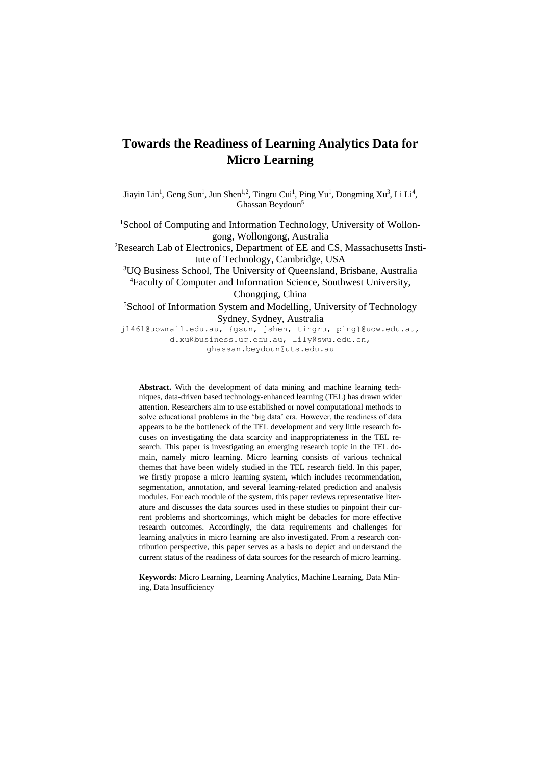## **Towards the Readiness of Learning Analytics Data for Micro Learning**

Jiayin Lin<sup>1</sup>, Geng Sun<sup>1</sup>, Jun Shen<sup>1,2</sup>, Tingru Cui<sup>1</sup>, Ping Yu<sup>1</sup>, Dongming Xu<sup>3</sup>, Li Li<sup>4</sup>, Ghassan Beydoun<sup>5</sup>

<sup>1</sup>School of Computing and Information Technology, University of Wollongong, Wollongong, Australia

2Research Lab of Electronics, Department of EE and CS, Massachusetts Institute of Technology, Cambridge, USA

<sup>3</sup>UQ Business School, The University of Queensland, Brisbane, Australia <sup>4</sup>Faculty of Computer and Information Science, Southwest University, Chongqing, China

<sup>5</sup>School of Information System and Modelling, University of Technology Sydney, Sydney, Australia

jl461@uowmail.edu.au, {gsun, jshen, tingru, ping}@uow.edu.au, d.xu@business.uq.edu.au, [lily@swu.edu.cn,](mailto:lily@swu.edu.cn) ghassan.beydoun@uts.edu.au

**Abstract.** With the development of data mining and machine learning techniques, data-driven based technology-enhanced learning (TEL) has drawn wider attention. Researchers aim to use established or novel computational methods to solve educational problems in the 'big data' era. However, the readiness of data appears to be the bottleneck of the TEL development and very little research focuses on investigating the data scarcity and inappropriateness in the TEL research. This paper is investigating an emerging research topic in the TEL domain, namely micro learning. Micro learning consists of various technical themes that have been widely studied in the TEL research field. In this paper, we firstly propose a micro learning system, which includes recommendation, segmentation, annotation, and several learning-related prediction and analysis modules. For each module of the system, this paper reviews representative literature and discusses the data sources used in these studies to pinpoint their current problems and shortcomings, which might be debacles for more effective research outcomes. Accordingly, the data requirements and challenges for learning analytics in micro learning are also investigated. From a research contribution perspective, this paper serves as a basis to depict and understand the current status of the readiness of data sources for the research of micro learning.

**Keywords:** Micro Learning, Learning Analytics, Machine Learning, Data Mining, Data Insufficiency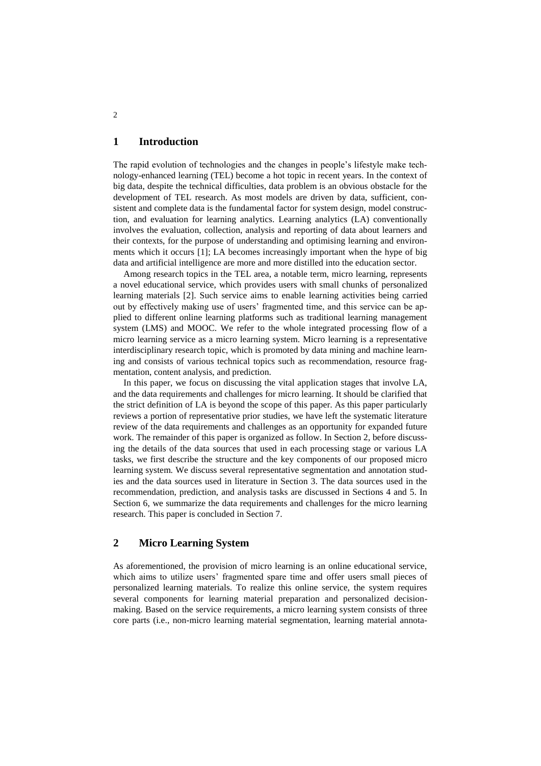### **1 Introduction**

The rapid evolution of technologies and the changes in people's lifestyle make technology-enhanced learning (TEL) become a hot topic in recent years. In the context of big data, despite the technical difficulties, data problem is an obvious obstacle for the development of TEL research. As most models are driven by data, sufficient, consistent and complete data is the fundamental factor for system design, model construction, and evaluation for learning analytics. Learning analytics (LA) conventionally involves the evaluation, collection, analysis and reporting of data about learners and their contexts, for the purpose of understanding and optimising learning and environments which it occurs [1]; LA becomes increasingly important when the hype of big data and artificial intelligence are more and more distilled into the education sector.

Among research topics in the TEL area, a notable term, micro learning, represents a novel educational service, which provides users with small chunks of personalized learning materials [2]. Such service aims to enable learning activities being carried out by effectively making use of users' fragmented time, and this service can be applied to different online learning platforms such as traditional learning management system (LMS) and MOOC. We refer to the whole integrated processing flow of a micro learning service as a micro learning system. Micro learning is a representative interdisciplinary research topic, which is promoted by data mining and machine learning and consists of various technical topics such as recommendation, resource fragmentation, content analysis, and prediction.

In this paper, we focus on discussing the vital application stages that involve LA, and the data requirements and challenges for micro learning. It should be clarified that the strict definition of LA is beyond the scope of this paper. As this paper particularly reviews a portion of representative prior studies, we have left the systematic literature review of the data requirements and challenges as an opportunity for expanded future work. The remainder of this paper is organized as follow. In Section 2, before discussing the details of the data sources that used in each processing stage or various LA tasks, we first describe the structure and the key components of our proposed micro learning system. We discuss several representative segmentation and annotation studies and the data sources used in literature in Section 3. The data sources used in the recommendation, prediction, and analysis tasks are discussed in Sections 4 and 5. In Section 6, we summarize the data requirements and challenges for the micro learning research. This paper is concluded in Section 7.

## **2 Micro Learning System**

As aforementioned, the provision of micro learning is an online educational service, which aims to utilize users' fragmented spare time and offer users small pieces of personalized learning materials. To realize this online service, the system requires several components for learning material preparation and personalized decisionmaking. Based on the service requirements, a micro learning system consists of three core parts (i.e., non-micro learning material segmentation, learning material annota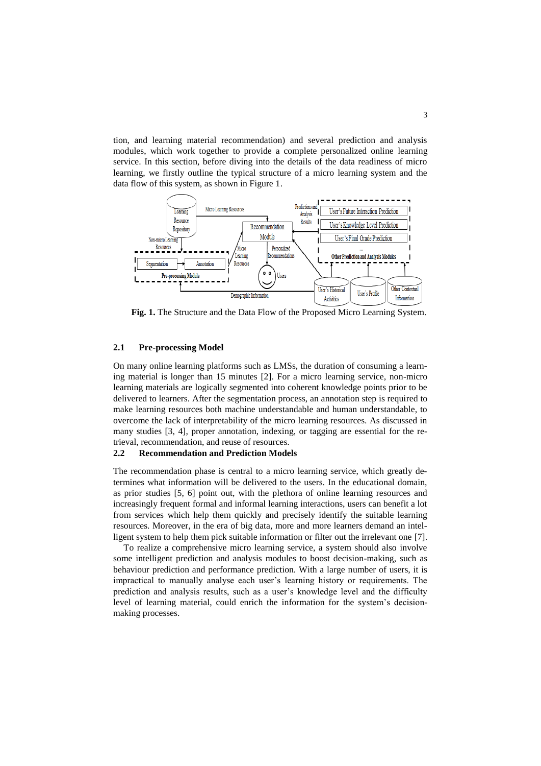tion, and learning material recommendation) and several prediction and analysis modules, which work together to provide a complete personalized online learning service. In this section, before diving into the details of the data readiness of micro learning, we firstly outline the typical structure of a micro learning system and the data flow of this system, as shown in Figure 1.



**Fig. 1.** The Structure and the Data Flow of the Proposed Micro Learning System.

#### **2.1 Pre-processing Model**

On many online learning platforms such as LMSs, the duration of consuming a learning material is longer than 15 minutes [2]. For a micro learning service, non-micro learning materials are logically segmented into coherent knowledge points prior to be delivered to learners. After the segmentation process, an annotation step is required to make learning resources both machine understandable and human understandable, to overcome the lack of interpretability of the micro learning resources. As discussed in many studies [3, 4], proper annotation, indexing, or tagging are essential for the retrieval, recommendation, and reuse of resources.

#### **2.2 Recommendation and Prediction Models**

The recommendation phase is central to a micro learning service, which greatly determines what information will be delivered to the users. In the educational domain, as prior studies [5, 6] point out, with the plethora of online learning resources and increasingly frequent formal and informal learning interactions, users can benefit a lot from services which help them quickly and precisely identify the suitable learning resources. Moreover, in the era of big data, more and more learners demand an intelligent system to help them pick suitable information or filter out the irrelevant one [7].

To realize a comprehensive micro learning service, a system should also involve some intelligent prediction and analysis modules to boost decision-making, such as behaviour prediction and performance prediction. With a large number of users, it is impractical to manually analyse each user's learning history or requirements. The prediction and analysis results, such as a user's knowledge level and the difficulty level of learning material, could enrich the information for the system's decisionmaking processes.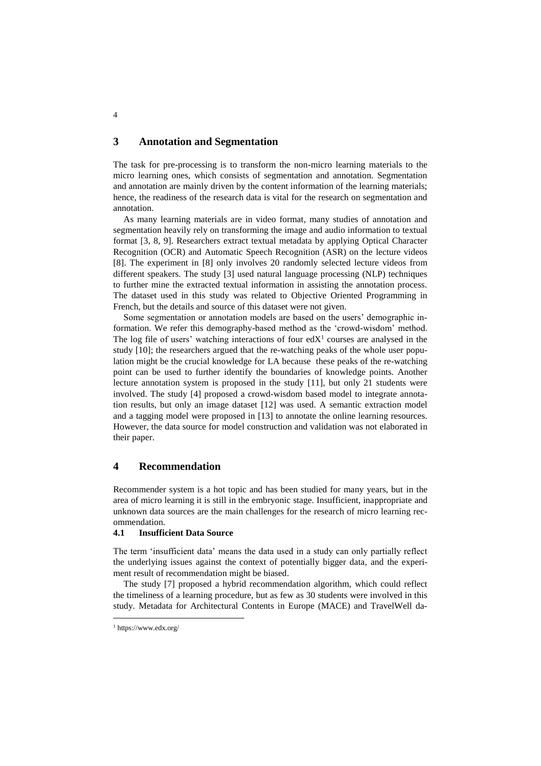### **3 Annotation and Segmentation**

The task for pre-processing is to transform the non-micro learning materials to the micro learning ones, which consists of segmentation and annotation. Segmentation and annotation are mainly driven by the content information of the learning materials; hence, the readiness of the research data is vital for the research on segmentation and annotation.

As many learning materials are in video format, many studies of annotation and segmentation heavily rely on transforming the image and audio information to textual format [3, 8, 9]. Researchers extract textual metadata by applying Optical Character Recognition (OCR) and Automatic Speech Recognition (ASR) on the lecture videos [8]. The experiment in [8] only involves 20 randomly selected lecture videos from different speakers. The study [3] used natural language processing (NLP) techniques to further mine the extracted textual information in assisting the annotation process. The dataset used in this study was related to Objective Oriented Programming in French, but the details and source of this dataset were not given.

Some segmentation or annotation models are based on the users' demographic information. We refer this demography-based method as the 'crowd-wisdom' method. The log file of users' watching interactions of four  $edX<sup>1</sup>$  courses are analysed in the study [10]; the researchers argued that the re-watching peaks of the whole user population might be the crucial knowledge for LA because these peaks of the re-watching point can be used to further identify the boundaries of knowledge points. Another lecture annotation system is proposed in the study [11], but only 21 students were involved. The study [4] proposed a crowd-wisdom based model to integrate annotation results, but only an image dataset [12] was used. A semantic extraction model and a tagging model were proposed in [13] to annotate the online learning resources. However, the data source for model construction and validation was not elaborated in their paper.

#### **4 Recommendation**

Recommender system is a hot topic and has been studied for many years, but in the area of micro learning it is still in the embryonic stage. Insufficient, inappropriate and unknown data sources are the main challenges for the research of micro learning recommendation.

#### **4.1 Insufficient Data Source**

The term 'insufficient data' means the data used in a study can only partially reflect the underlying issues against the context of potentially bigger data, and the experiment result of recommendation might be biased.

The study [7] proposed a hybrid recommendation algorithm, which could reflect the timeliness of a learning procedure, but as few as 30 students were involved in this study. Metadata for Architectural Contents in Europe (MACE) and TravelWell da-

 $\overline{a}$ 

4

<sup>1</sup> https://www.edx.org/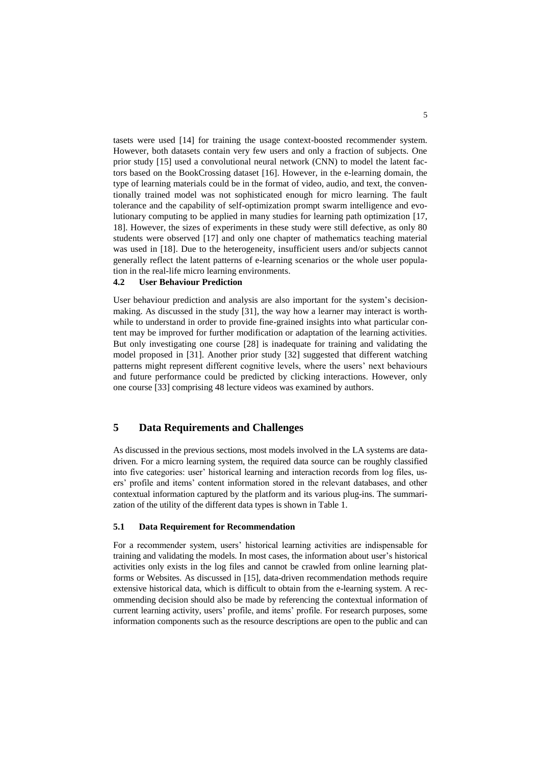tasets were used [14] for training the usage context-boosted recommender system. However, both datasets contain very few users and only a fraction of subjects. One prior study [15] used a convolutional neural network (CNN) to model the latent factors based on the BookCrossing dataset [16]. However, in the e-learning domain, the type of learning materials could be in the format of video, audio, and text, the conventionally trained model was not sophisticated enough for micro learning. The fault tolerance and the capability of self-optimization prompt swarm intelligence and evolutionary computing to be applied in many studies for learning path optimization [17, 18]. However, the sizes of experiments in these study were still defective, as only 80 students were observed [17] and only one chapter of mathematics teaching material was used in [18]. Due to the heterogeneity, insufficient users and/or subjects cannot generally reflect the latent patterns of e-learning scenarios or the whole user population in the real-life micro learning environments.

#### **4.2 User Behaviour Prediction**

User behaviour prediction and analysis are also important for the system's decisionmaking. As discussed in the study [31], the way how a learner may interact is worthwhile to understand in order to provide fine-grained insights into what particular content may be improved for further modification or adaptation of the learning activities. But only investigating one course [28] is inadequate for training and validating the model proposed in [31]. Another prior study [32] suggested that different watching patterns might represent different cognitive levels, where the users' next behaviours and future performance could be predicted by clicking interactions. However, only one course [33] comprising 48 lecture videos was examined by authors.

#### **5 Data Requirements and Challenges**

As discussed in the previous sections, most models involved in the LA systems are datadriven. For a micro learning system, the required data source can be roughly classified into five categories: user' historical learning and interaction records from log files, users' profile and items' content information stored in the relevant databases, and other contextual information captured by the platform and its various plug-ins. The summarization of the utility of the different data types is shown in Table 1.

#### **5.1 Data Requirement for Recommendation**

For a recommender system, users' historical learning activities are indispensable for training and validating the models. In most cases, the information about user's historical activities only exists in the log files and cannot be crawled from online learning platforms or Websites. As discussed in [15], data-driven recommendation methods require extensive historical data, which is difficult to obtain from the e-learning system. A recommending decision should also be made by referencing the contextual information of current learning activity, users' profile, and items' profile. For research purposes, some information components such as the resource descriptions are open to the public and can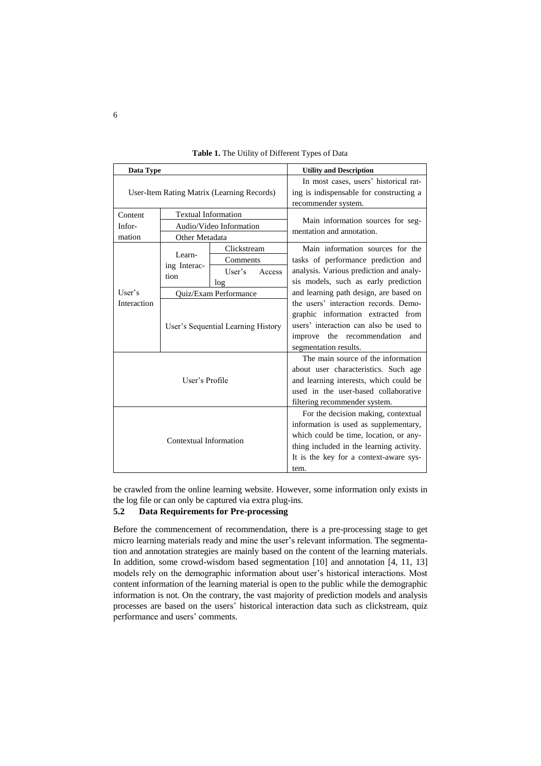| Data Type                                  |                                                       |                  | <b>Utility and Description</b>                                                                                                                                                                                                |
|--------------------------------------------|-------------------------------------------------------|------------------|-------------------------------------------------------------------------------------------------------------------------------------------------------------------------------------------------------------------------------|
| User-Item Rating Matrix (Learning Records) |                                                       |                  | In most cases, users' historical rat-<br>ing is indispensable for constructing a<br>recommender system.                                                                                                                       |
| Content                                    | <b>Textual Information</b><br>Audio/Video Information |                  | Main information sources for seg-<br>mentation and annotation.                                                                                                                                                                |
| Infor-                                     |                                                       |                  |                                                                                                                                                                                                                               |
| mation                                     | Other Metadata                                        |                  |                                                                                                                                                                                                                               |
| User's<br>Interaction                      | Learn-<br>ing Interac-<br>tion                        | Clickstream      | Main information sources for the                                                                                                                                                                                              |
|                                            |                                                       | Comments         | tasks of performance prediction and                                                                                                                                                                                           |
|                                            |                                                       | User's<br>Access | analysis. Various prediction and analy-                                                                                                                                                                                       |
|                                            |                                                       | log              | sis models, such as early prediction                                                                                                                                                                                          |
|                                            | Quiz/Exam Performance                                 |                  | and learning path design, are based on<br>the users' interaction records. Demo-<br>graphic information extracted from<br>users' interaction can also be used to<br>improve the recommendation<br>and<br>segmentation results. |
|                                            | User's Sequential Learning History                    |                  |                                                                                                                                                                                                                               |
| User's Profile                             |                                                       |                  | The main source of the information<br>about user characteristics. Such age<br>and learning interests, which could be<br>used in the user-based collaborative<br>filtering recommender system.                                 |
| Contextual Information                     |                                                       |                  | For the decision making, contextual<br>information is used as supplementary,<br>which could be time, location, or any-<br>thing included in the learning activity.<br>It is the key for a context-aware sys-<br>tem.          |

**Table 1.** The Utility of Different Types of Data

be crawled from the online learning website. However, some information only exists in the log file or can only be captured via extra plug-ins.

#### **5.2 Data Requirements for Pre-processing**

Before the commencement of recommendation, there is a pre-processing stage to get micro learning materials ready and mine the user's relevant information. The segmentation and annotation strategies are mainly based on the content of the learning materials. In addition, some crowd-wisdom based segmentation [10] and annotation [4, 11, 13] models rely on the demographic information about user's historical interactions. Most content information of the learning material is open to the public while the demographic information is not. On the contrary, the vast majority of prediction models and analysis processes are based on the users' historical interaction data such as clickstream, quiz performance and users' comments.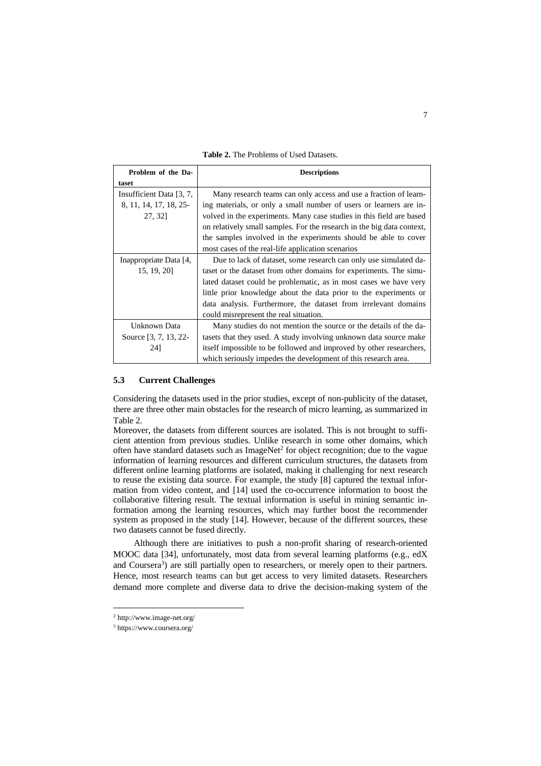**Table 2.** The Problems of Used Datasets.

| Problem of the Da-       | <b>Descriptions</b>                                                    |  |
|--------------------------|------------------------------------------------------------------------|--|
| taset                    |                                                                        |  |
| Insufficient Data [3, 7, | Many research teams can only access and use a fraction of learn-       |  |
| 8, 11, 14, 17, 18, 25-   | ing materials, or only a small number of users or learners are in-     |  |
| 27, 32]                  | volved in the experiments. Many case studies in this field are based   |  |
|                          | on relatively small samples. For the research in the big data context, |  |
|                          | the samples involved in the experiments should be able to cover        |  |
|                          | most cases of the real-life application scenarios                      |  |
| Inappropriate Data [4,   | Due to lack of dataset, some research can only use simulated da-       |  |
| 15, 19, 20]              | taset or the dataset from other domains for experiments. The simu-     |  |
|                          | lated dataset could be problematic, as in most cases we have very      |  |
|                          | little prior knowledge about the data prior to the experiments or      |  |
|                          | data analysis. Furthermore, the dataset from irrelevant domains        |  |
|                          | could misrepresent the real situation.                                 |  |
| Unknown Data             | Many studies do not mention the source or the details of the da-       |  |
| Source [3, 7, 13, 22-    | tasets that they used. A study involving unknown data source make      |  |
| 241                      | itself impossible to be followed and improved by other researchers,    |  |
|                          | which seriously impedes the development of this research area.         |  |

#### **5.3 Current Challenges**

Considering the datasets used in the prior studies, except of non-publicity of the dataset, there are three other main obstacles for the research of micro learning, as summarized in Table 2.

Moreover, the datasets from different sources are isolated. This is not brought to sufficient attention from previous studies. Unlike research in some other domains, which often have standard datasets such as ImageNet<sup>2</sup> for object recognition; due to the vague information of learning resources and different curriculum structures, the datasets from different online learning platforms are isolated, making it challenging for next research to reuse the existing data source. For example, the study [8] captured the textual information from video content, and [14] used the co-occurrence information to boost the collaborative filtering result. The textual information is useful in mining semantic information among the learning resources, which may further boost the recommender system as proposed in the study [14]. However, because of the different sources, these two datasets cannot be fused directly.

Although there are initiatives to push a non-profit sharing of research-oriented MOOC data [34], unfortunately, most data from several learning platforms (e.g., edX and Coursera<sup>3</sup>) are still partially open to researchers, or merely open to their partners. Hence, most research teams can but get access to very limited datasets. Researchers demand more complete and diverse data to drive the decision-making system of the

 $\overline{a}$ 

<sup>2</sup> <http://www.image-net.org/>

<sup>3</sup> https://www.coursera.org/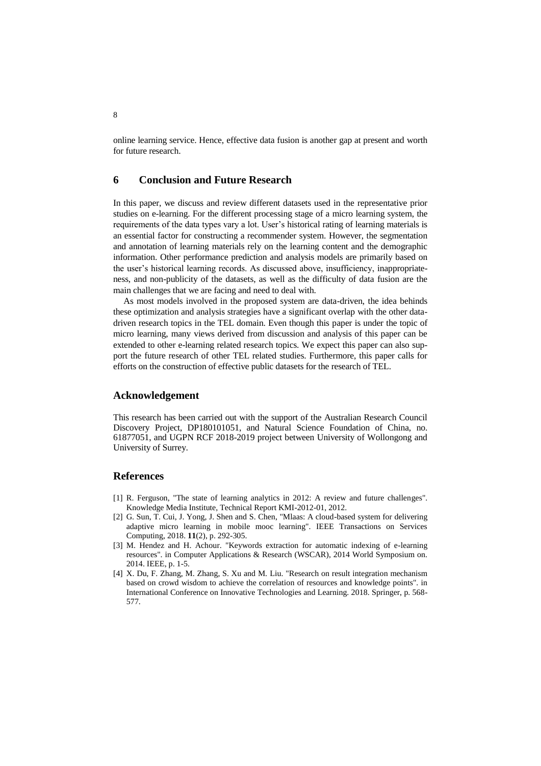online learning service. Hence, effective data fusion is another gap at present and worth for future research.

#### **6 Conclusion and Future Research**

In this paper, we discuss and review different datasets used in the representative prior studies on e-learning. For the different processing stage of a micro learning system, the requirements of the data types vary a lot. User's historical rating of learning materials is an essential factor for constructing a recommender system. However, the segmentation and annotation of learning materials rely on the learning content and the demographic information. Other performance prediction and analysis models are primarily based on the user's historical learning records. As discussed above, insufficiency, inappropriateness, and non-publicity of the datasets, as well as the difficulty of data fusion are the main challenges that we are facing and need to deal with.

As most models involved in the proposed system are data-driven, the idea behinds these optimization and analysis strategies have a significant overlap with the other datadriven research topics in the TEL domain. Even though this paper is under the topic of micro learning, many views derived from discussion and analysis of this paper can be extended to other e-learning related research topics. We expect this paper can also support the future research of other TEL related studies. Furthermore, this paper calls for efforts on the construction of effective public datasets for the research of TEL.

#### **Acknowledgement**

This research has been carried out with the support of the Australian Research Council Discovery Project, DP180101051, and Natural Science Foundation of China, no. 61877051, and UGPN RCF 2018-2019 project between University of Wollongong and University of Surrey.

#### **References**

- [1] R. Ferguson, "The state of learning analytics in 2012: A review and future challenges". Knowledge Media Institute, Technical Report KMI-2012-01, 2012.
- [2] G. Sun, T. Cui, J. Yong, J. Shen and S. Chen, "Mlaas: A cloud-based system for delivering adaptive micro learning in mobile mooc learning". IEEE Transactions on Services Computing, 2018. **11**(2), p. 292-305.
- [3] M. Hendez and H. Achour. "Keywords extraction for automatic indexing of e-learning resources". in Computer Applications & Research (WSCAR), 2014 World Symposium on. 2014. IEEE, p. 1-5.
- [4] X. Du, F. Zhang, M. Zhang, S. Xu and M. Liu. "Research on result integration mechanism based on crowd wisdom to achieve the correlation of resources and knowledge points". in International Conference on Innovative Technologies and Learning. 2018. Springer, p. 568- 577.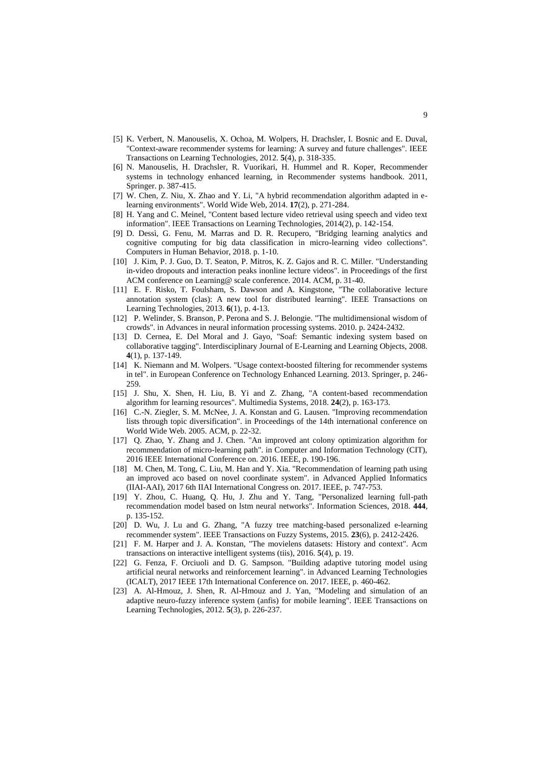- [5] K. Verbert, N. Manouselis, X. Ochoa, M. Wolpers, H. Drachsler, I. Bosnic and E. Duval, "Context-aware recommender systems for learning: A survey and future challenges". IEEE Transactions on Learning Technologies, 2012. **5**(4), p. 318-335.
- [6] N. Manouselis, H. Drachsler, R. Vuorikari, H. Hummel and R. Koper, Recommender systems in technology enhanced learning, in Recommender systems handbook. 2011, Springer. p. 387-415.
- [7] W. Chen, Z. Niu, X. Zhao and Y. Li, "A hybrid recommendation algorithm adapted in elearning environments". World Wide Web, 2014. **17**(2), p. 271-284.
- [8] H. Yang and C. Meinel, "Content based lecture video retrieval using speech and video text information". IEEE Transactions on Learning Technologies, 2014(2), p. 142-154.
- [9] D. Dessì, G. Fenu, M. Marras and D. R. Recupero, "Bridging learning analytics and cognitive computing for big data classification in micro-learning video collections". Computers in Human Behavior, 2018. p. 1-10.
- [10] J. Kim, P. J. Guo, D. T. Seaton, P. Mitros, K. Z. Gajos and R. C. Miller. "Understanding in-video dropouts and interaction peaks inonline lecture videos". in Proceedings of the first ACM conference on Learning@ scale conference. 2014. ACM, p. 31-40.
- [11] E. F. Risko, T. Foulsham, S. Dawson and A. Kingstone, "The collaborative lecture annotation system (clas): A new tool for distributed learning". IEEE Transactions on Learning Technologies, 2013. **6**(1), p. 4-13.
- [12] P. Welinder, S. Branson, P. Perona and S. J. Belongie. "The multidimensional wisdom of crowds". in Advances in neural information processing systems. 2010. p. 2424-2432.
- [13] D. Cernea, E. Del Moral and J. Gayo, "Soaf: Semantic indexing system based on collaborative tagging". Interdisciplinary Journal of E-Learning and Learning Objects, 2008. **4**(1), p. 137-149.
- [14] K. Niemann and M. Wolpers. "Usage context-boosted filtering for recommender systems in tel". in European Conference on Technology Enhanced Learning. 2013. Springer, p. 246- 259.
- [15] J. Shu, X. Shen, H. Liu, B. Yi and Z. Zhang, "A content-based recommendation algorithm for learning resources". Multimedia Systems, 2018. **24**(2), p. 163-173.
- [16] C.-N. Ziegler, S. M. McNee, J. A. Konstan and G. Lausen. "Improving recommendation lists through topic diversification". in Proceedings of the 14th international conference on World Wide Web. 2005. ACM, p. 22-32.
- [17] Q. Zhao, Y. Zhang and J. Chen. "An improved ant colony optimization algorithm for recommendation of micro-learning path". in Computer and Information Technology (CIT), 2016 IEEE International Conference on. 2016. IEEE, p. 190-196.
- [18] M. Chen, M. Tong, C. Liu, M. Han and Y. Xia. "Recommendation of learning path using an improved aco based on novel coordinate system". in Advanced Applied Informatics (IIAI-AAI), 2017 6th IIAI International Congress on. 2017. IEEE, p. 747-753.
- [19] Y. Zhou, C. Huang, Q. Hu, J. Zhu and Y. Tang, "Personalized learning full-path recommendation model based on lstm neural networks". Information Sciences, 2018. **444**, p. 135-152.
- [20] D. Wu, J. Lu and G. Zhang, "A fuzzy tree matching-based personalized e-learning recommender system". IEEE Transactions on Fuzzy Systems, 2015. **23**(6), p. 2412-2426.
- [21] F. M. Harper and J. A. Konstan, "The movielens datasets: History and context". Acm transactions on interactive intelligent systems (tiis), 2016. **5**(4), p. 19.
- [22] G. Fenza, F. Orciuoli and D. G. Sampson. "Building adaptive tutoring model using artificial neural networks and reinforcement learning". in Advanced Learning Technologies (ICALT), 2017 IEEE 17th International Conference on. 2017. IEEE, p. 460-462.
- [23] A. Al-Hmouz, J. Shen, R. Al-Hmouz and J. Yan, "Modeling and simulation of an adaptive neuro-fuzzy inference system (anfis) for mobile learning". IEEE Transactions on Learning Technologies, 2012. **5**(3), p. 226-237.